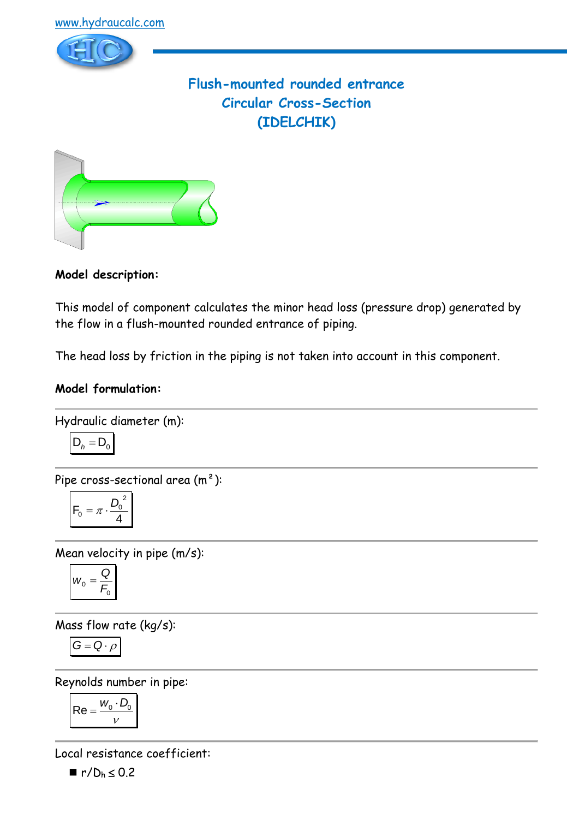

# **Flush-mounted rounded entrance Circular Cross-Section (IDELCHIK)**



**Model description:**

This model of component calculates the minor head loss (pressure drop) generated by the flow in a flush-mounted rounded entrance of piping.

The head loss by friction in the piping is not taken into account in this component.

#### **Model formulation:**

Hydraulic diameter (m):

$$
D_h = D_0
$$

Pipe cross-sectional area (m²):

$$
F_0 = \pi \cdot \frac{D_0^2}{4}
$$

Mean velocity in pipe (m/s):

$$
W_0 = \frac{Q}{F_0}
$$

Mass flow rate (kg/s):

$$
G=Q\cdot \rho
$$

Reynolds number in pipe:

$$
\mathsf{Re} = \frac{w_0 \cdot D_0}{v}
$$

Local resistance coefficient:

 $\blacksquare$  r/ $D_h \le 0.2$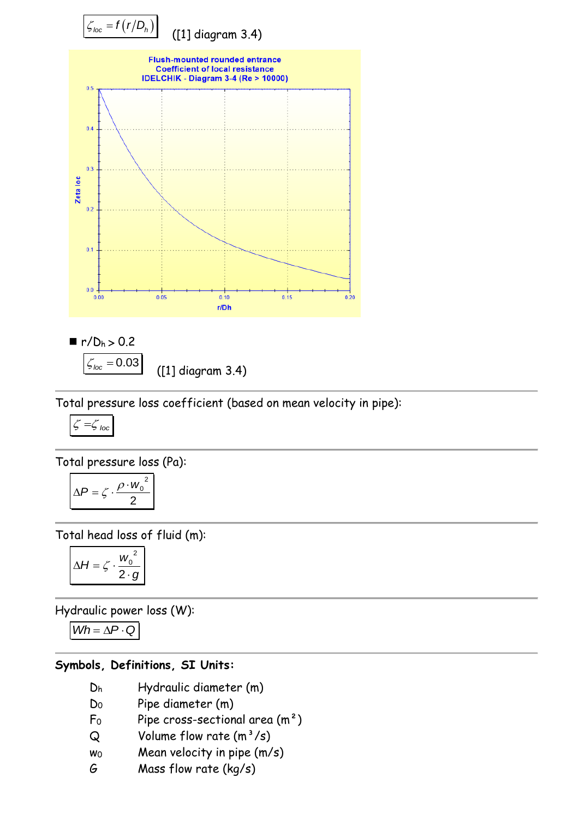

([1] diagram 3.4)

Total pressure loss coefficient (based on mean velocity in pipe):

$$
\zeta = \zeta_{\text{loc}}
$$

Total pressure loss (Pa):

$$
\Delta P = \zeta \cdot \frac{\rho \cdot w_0^2}{2}
$$

Total head loss of fluid (m):

$$
\Delta H = \zeta \cdot \frac{w_0^2}{2 \cdot g}
$$

Hydraulic power loss (W):

 $Wh = \Delta P \cdot Q$ 

#### **Symbols, Definitions, SI Units:**

- D<sup>h</sup> Hydraulic diameter (m)
- D<sup>0</sup> Pipe diameter (m)
- $F_0$  Pipe cross-sectional area  $(m^2)$
- $Q$  Volume flow rate  $(m^3/s)$
- $w_0$  Mean velocity in pipe  $(m/s)$
- G Mass flow rate (kg/s)